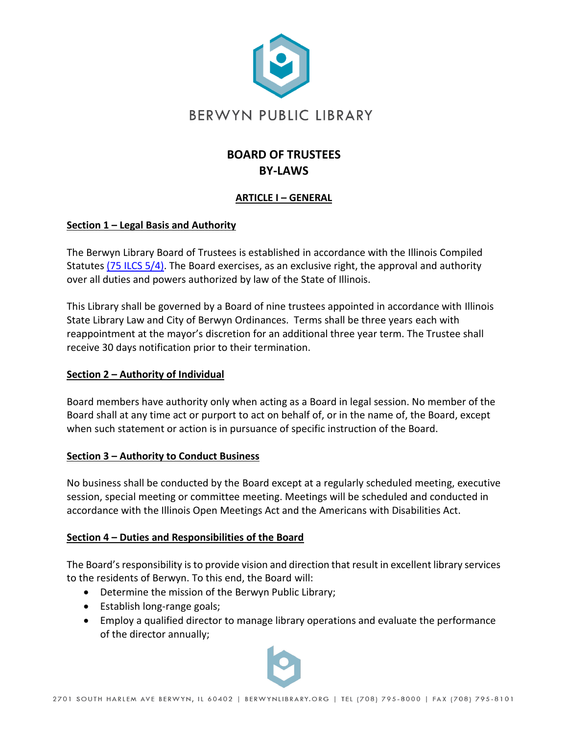

# **BOARD OF TRUSTEES BY-LAWS**

# **ARTICLE I – GENERAL**

#### **Section 1 – Legal Basis and Authority**

The Berwyn Library Board of Trustees is established in accordance with the Illinois Compiled Statutes [\(75 ILCS 5/4\).](https://www.ilga.gov/legislation/ilcs/ilcs5.asp?ActID=990&ChapterID=16) The Board exercises, as an exclusive right, the approval and authority over all duties and powers authorized by law of the State of Illinois.

This Library shall be governed by a Board of nine trustees appointed in accordance with Illinois State Library Law and City of Berwyn Ordinances. Terms shall be three years each with reappointment at the mayor's discretion for an additional three year term. The Trustee shall receive 30 days notification prior to their termination.

# **Section 2 – Authority of Individual**

Board members have authority only when acting as a Board in legal session. No member of the Board shall at any time act or purport to act on behalf of, or in the name of, the Board, except when such statement or action is in pursuance of specific instruction of the Board.

# **Section 3 – Authority to Conduct Business**

No business shall be conducted by the Board except at a regularly scheduled meeting, executive session, special meeting or committee meeting. Meetings will be scheduled and conducted in accordance with the Illinois Open Meetings Act and the Americans with Disabilities Act.

# **Section 4 – Duties and Responsibilities of the Board**

The Board's responsibility is to provide vision and direction that result in excellent library services to the residents of Berwyn. To this end, the Board will:

- Determine the mission of the Berwyn Public Library;
- Establish long-range goals;
- Employ a qualified director to manage library operations and evaluate the performance of the director annually;

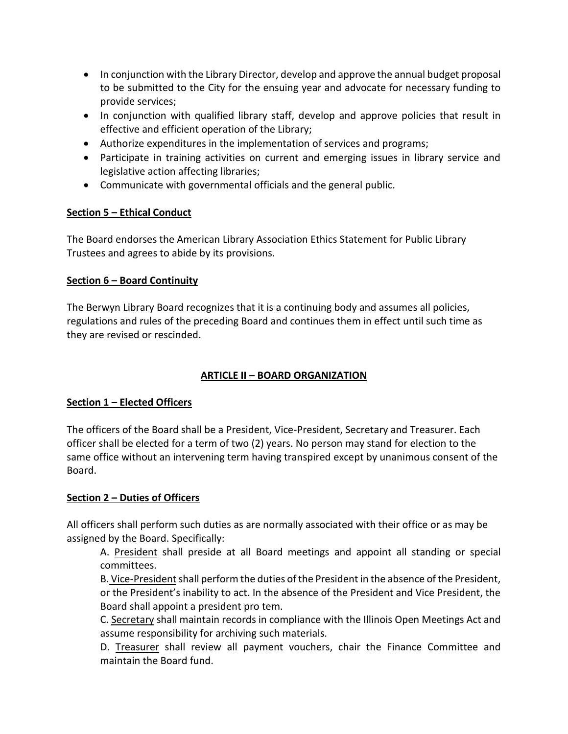- In conjunction with the Library Director, develop and approve the annual budget proposal to be submitted to the City for the ensuing year and advocate for necessary funding to provide services;
- In conjunction with qualified library staff, develop and approve policies that result in effective and efficient operation of the Library;
- Authorize expenditures in the implementation of services and programs;
- Participate in training activities on current and emerging issues in library service and legislative action affecting libraries;
- Communicate with governmental officials and the general public.

# **Section 5 – Ethical Conduct**

The Board endorses the American Library Association Ethics Statement for Public Library Trustees and agrees to abide by its provisions.

# **Section 6 – Board Continuity**

The Berwyn Library Board recognizes that it is a continuing body and assumes all policies, regulations and rules of the preceding Board and continues them in effect until such time as they are revised or rescinded.

# **ARTICLE II – BOARD ORGANIZATION**

# **Section 1 – Elected Officers**

The officers of the Board shall be a President, Vice-President, Secretary and Treasurer. Each officer shall be elected for a term of two (2) years. No person may stand for election to the same office without an intervening term having transpired except by unanimous consent of the Board.

# **Section 2 – Duties of Officers**

All officers shall perform such duties as are normally associated with their office or as may be assigned by the Board. Specifically:

A. President shall preside at all Board meetings and appoint all standing or special committees.

B. Vice-President shall perform the duties of the President in the absence of the President, or the President's inability to act. In the absence of the President and Vice President, the Board shall appoint a president pro tem.

C. Secretary shall maintain records in compliance with the Illinois Open Meetings Act and assume responsibility for archiving such materials.

D. Treasurer shall review all payment vouchers, chair the Finance Committee and maintain the Board fund.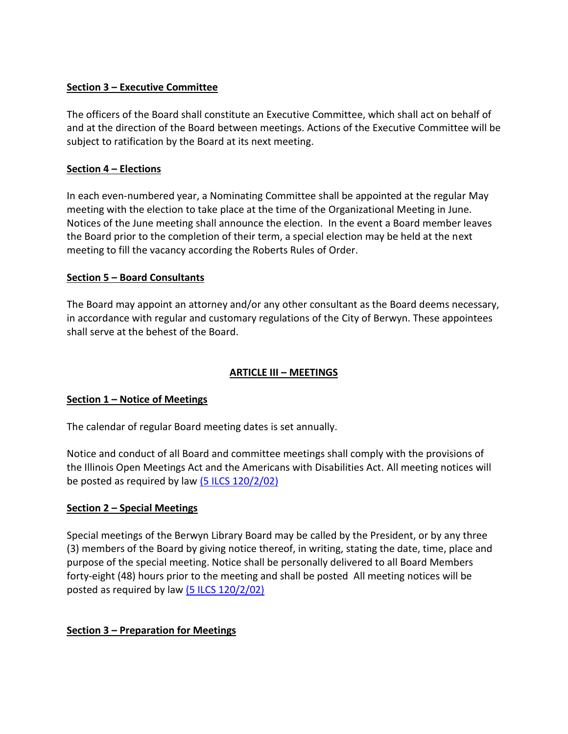### **Section 3 – Executive Committee**

The officers of the Board shall constitute an Executive Committee, which shall act on behalf of and at the direction of the Board between meetings. Actions of the Executive Committee will be subject to ratification by the Board at its next meeting.

# **Section 4 – Elections**

In each even-numbered year, a Nominating Committee shall be appointed at the regular May meeting with the election to take place at the time of the Organizational Meeting in June. Notices of the June meeting shall announce the election. In the event a Board member leaves the Board prior to the completion of their term, a special election may be held at the next meeting to fill the vacancy according the Roberts Rules of Order.

# **Section 5 – Board Consultants**

The Board may appoint an attorney and/or any other consultant as the Board deems necessary, in accordance with regular and customary regulations of the City of Berwyn. These appointees shall serve at the behest of the Board.

# **ARTICLE III – MEETINGS**

# **Section 1 – Notice of Meetings**

The calendar of regular Board meeting dates is set annually.

Notice and conduct of all Board and committee meetings shall comply with the provisions of the Illinois Open Meetings Act and the Americans with Disabilities Act. All meeting notices will be posted as required by law [\(5 ILCS 120/2/02\)](https://www.ilga.gov/legislation/ilcs/ilcs5.asp?ActID=990&ChapterID=16)

# **Section 2 – Special Meetings**

Special meetings of the Berwyn Library Board may be called by the President, or by any three (3) members of the Board by giving notice thereof, in writing, stating the date, time, place and purpose of the special meeting. Notice shall be personally delivered to all Board Members forty-eight (48) hours prior to the meeting and shall be posted All meeting notices will be posted as required by law  $(5$  ILCS  $120/2/02)$ 

# **Section 3 – Preparation for Meetings**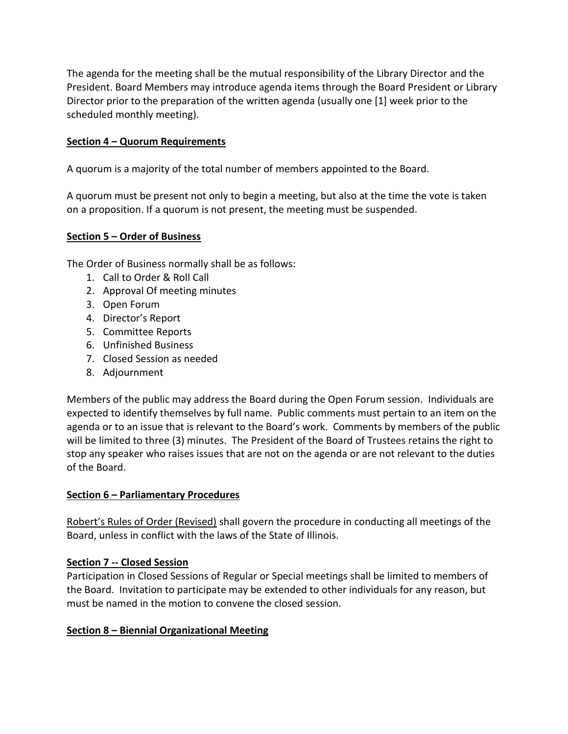The agenda for the meeting shall be the mutual responsibility of the Library Director and the President. Board Members may introduce agenda items through the Board President or Library Director prior to the preparation of the written agenda (usually one [1] week prior to the scheduled monthly meeting).

#### **Section 4 – Quorum Requirements**

A quorum is a majority of the total number of members appointed to the Board.

A quorum must be present not only to begin a meeting, but also at the time the vote is taken on a proposition. If a quorum is not present, the meeting must be suspended.

#### **Section 5 – Order of Business**

The Order of Business normally shall be as follows:

- 1. Call to Order & Roll Call
- 2. Approval Of meeting minutes
- 3. Open Forum
- 4. Director's Report
- 5. Committee Reports
- 6. Unfinished Business
- 7. Closed Session as needed
- 8. Adjournment

Members of the public may address the Board during the Open Forum session. Individuals are expected to identify themselves by full name. Public comments must pertain to an item on the agenda or to an issue that is relevant to the Board's work. Comments by members of the public will be limited to three (3) minutes. The President of the Board of Trustees retains the right to stop any speaker who raises issues that are not on the agenda or are not relevant to the duties of the Board.

#### **Section 6 – Parliamentary Procedures**

Robert's Rules of Order (Revised) shall govern the procedure in conducting all meetings of the Board, unless in conflict with the laws of the State of Illinois.

#### **Section 7 -- Closed Session**

Participation in Closed Sessions of Regular or Special meetings shall be limited to members of the Board. Invitation to participate may be extended to other individuals for any reason, but must be named in the motion to convene the closed session.

#### **Section 8 – Biennial Organizational Meeting**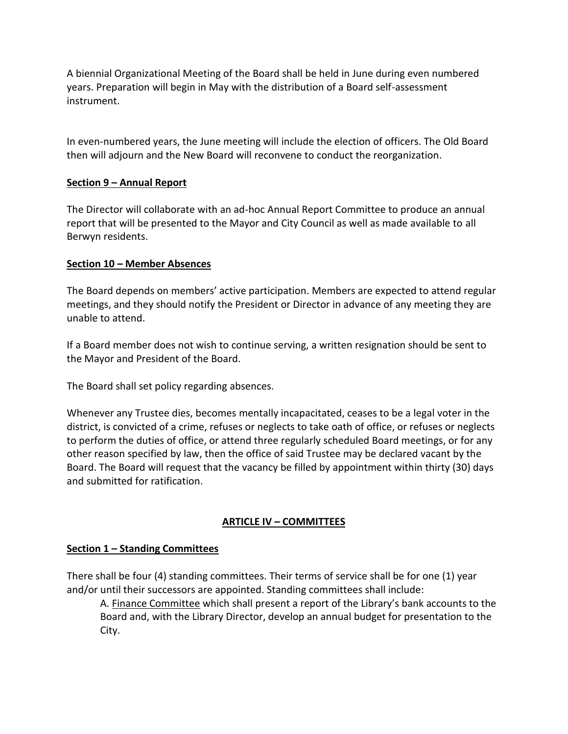A biennial Organizational Meeting of the Board shall be held in June during even numbered years. Preparation will begin in May with the distribution of a Board self-assessment instrument.

In even-numbered years, the June meeting will include the election of officers. The Old Board then will adjourn and the New Board will reconvene to conduct the reorganization.

# **Section 9 – Annual Report**

The Director will collaborate with an ad-hoc Annual Report Committee to produce an annual report that will be presented to the Mayor and City Council as well as made available to all Berwyn residents.

# **Section 10 – Member Absences**

The Board depends on members' active participation. Members are expected to attend regular meetings, and they should notify the President or Director in advance of any meeting they are unable to attend.

If a Board member does not wish to continue serving, a written resignation should be sent to the Mayor and President of the Board.

The Board shall set policy regarding absences.

Whenever any Trustee dies, becomes mentally incapacitated, ceases to be a legal voter in the district, is convicted of a crime, refuses or neglects to take oath of office, or refuses or neglects to perform the duties of office, or attend three regularly scheduled Board meetings, or for any other reason specified by law, then the office of said Trustee may be declared vacant by the Board. The Board will request that the vacancy be filled by appointment within thirty (30) days and submitted for ratification.

# **ARTICLE IV – COMMITTEES**

# **Section 1 – Standing Committees**

There shall be four (4) standing committees. Their terms of service shall be for one (1) year and/or until their successors are appointed. Standing committees shall include:

A. Finance Committee which shall present a report of the Library's bank accounts to the Board and, with the Library Director, develop an annual budget for presentation to the City.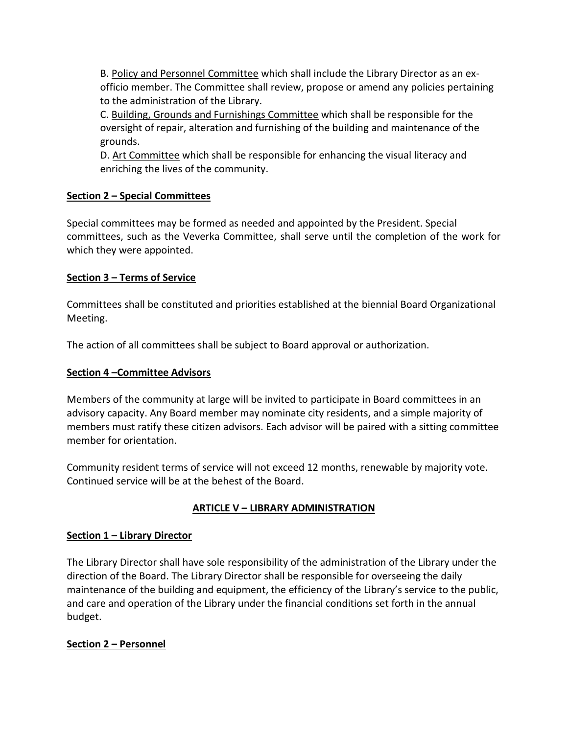B. Policy and Personnel Committee which shall include the Library Director as an exofficio member. The Committee shall review, propose or amend any policies pertaining to the administration of the Library.

C. Building, Grounds and Furnishings Committee which shall be responsible for the oversight of repair, alteration and furnishing of the building and maintenance of the grounds.

D. Art Committee which shall be responsible for enhancing the visual literacy and enriching the lives of the community.

# **Section 2 – Special Committees**

Special committees may be formed as needed and appointed by the President. Special committees, such as the Veverka Committee, shall serve until the completion of the work for which they were appointed.

# **Section 3 – Terms of Service**

Committees shall be constituted and priorities established at the biennial Board Organizational Meeting.

The action of all committees shall be subject to Board approval or authorization.

# **Section 4 –Committee Advisors**

Members of the community at large will be invited to participate in Board committees in an advisory capacity. Any Board member may nominate city residents, and a simple majority of members must ratify these citizen advisors. Each advisor will be paired with a sitting committee member for orientation.

Community resident terms of service will not exceed 12 months, renewable by majority vote. Continued service will be at the behest of the Board.

# **ARTICLE V – LIBRARY ADMINISTRATION**

# **Section 1 – Library Director**

The Library Director shall have sole responsibility of the administration of the Library under the direction of the Board. The Library Director shall be responsible for overseeing the daily maintenance of the building and equipment, the efficiency of the Library's service to the public, and care and operation of the Library under the financial conditions set forth in the annual budget.

# **Section 2 – Personnel**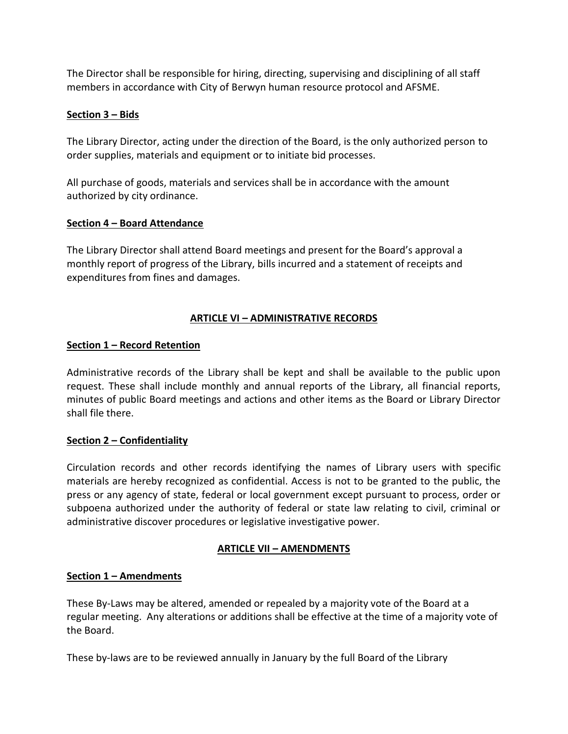The Director shall be responsible for hiring, directing, supervising and disciplining of all staff members in accordance with City of Berwyn human resource protocol and AFSME.

### **Section 3 – Bids**

The Library Director, acting under the direction of the Board, is the only authorized person to order supplies, materials and equipment or to initiate bid processes.

All purchase of goods, materials and services shall be in accordance with the amount authorized by city ordinance.

#### **Section 4 – Board Attendance**

The Library Director shall attend Board meetings and present for the Board's approval a monthly report of progress of the Library, bills incurred and a statement of receipts and expenditures from fines and damages.

# **ARTICLE VI – ADMINISTRATIVE RECORDS**

#### **Section 1 – Record Retention**

Administrative records of the Library shall be kept and shall be available to the public upon request. These shall include monthly and annual reports of the Library, all financial reports, minutes of public Board meetings and actions and other items as the Board or Library Director shall file there.

#### **Section 2 – Confidentiality**

Circulation records and other records identifying the names of Library users with specific materials are hereby recognized as confidential. Access is not to be granted to the public, the press or any agency of state, federal or local government except pursuant to process, order or subpoena authorized under the authority of federal or state law relating to civil, criminal or administrative discover procedures or legislative investigative power.

#### **ARTICLE VII – AMENDMENTS**

#### **Section 1 – Amendments**

These By-Laws may be altered, amended or repealed by a majority vote of the Board at a regular meeting. Any alterations or additions shall be effective at the time of a majority vote of the Board.

These by-laws are to be reviewed annually in January by the full Board of the Library